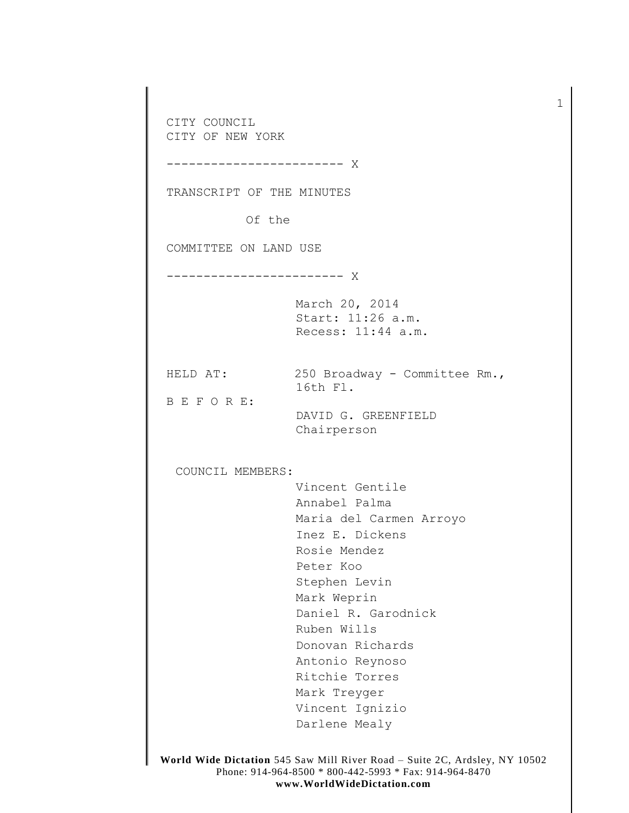CITY COUNCIL CITY OF NEW YORK ------------------------ X TRANSCRIPT OF THE MINUTES Of the COMMITTEE ON LAND USE ------------------------ X March 20, 2014 Start: 11:26 a.m. Recess: 11:44 a.m. HELD AT: 250 Broadway - Committee Rm., 16th Fl. B E F O R E: DAVID G. GREENFIELD Chairperson COUNCIL MEMBERS: Vincent Gentile Annabel Palma Maria del Carmen Arroyo Inez E. Dickens Rosie Mendez Peter Koo Stephen Levin Mark Weprin Daniel R. Garodnick Ruben Wills Donovan Richards Antonio Reynoso Ritchie Torres Mark Treyger Vincent Ignizio Darlene Mealy

1

**World Wide Dictation** 545 Saw Mill River Road – Suite 2C, Ardsley, NY 10502 Phone: 914-964-8500 \* 800-442-5993 \* Fax: 914-964-8470 **www.WorldWideDictation.com**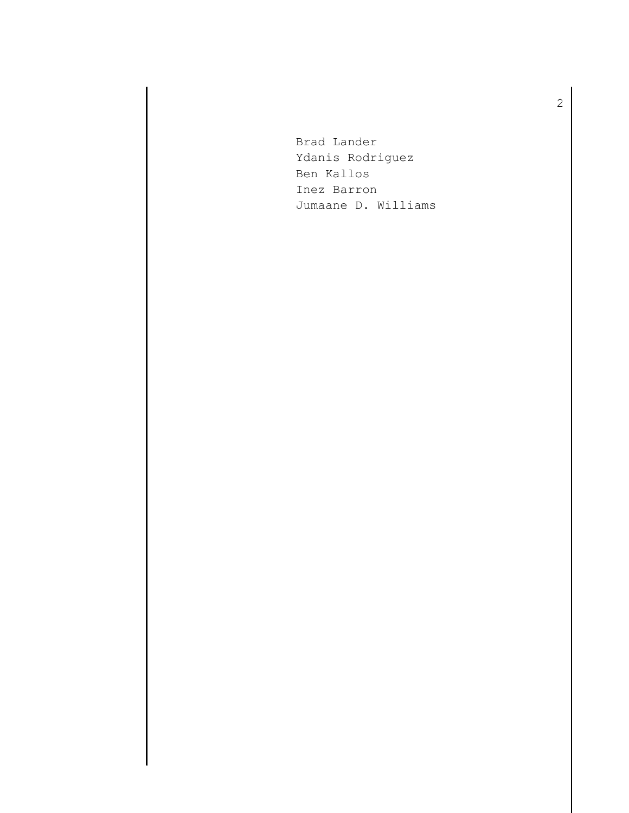Brad Lander Ydanis Rodriguez Ben Kallos Inez Barron Jumaane D. Williams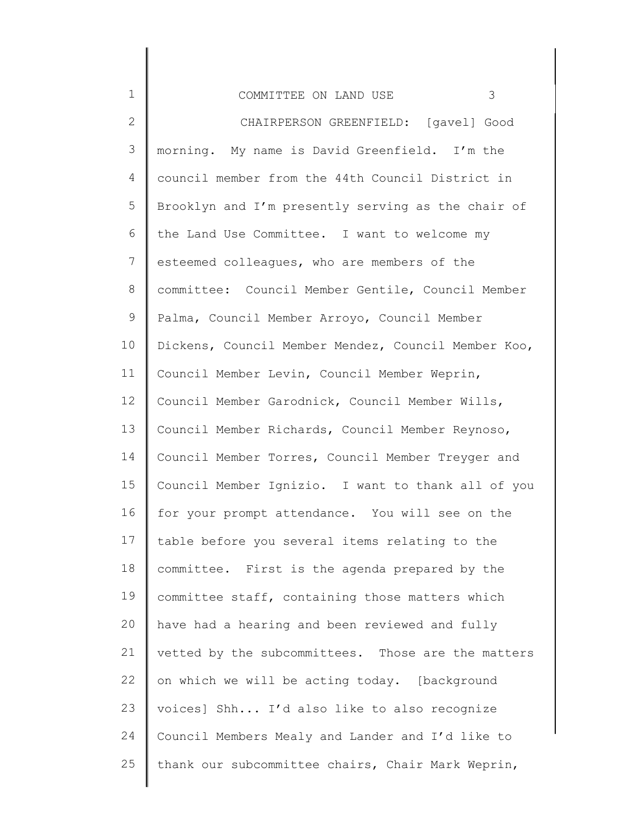| COMMITTEE ON LAND USE |  |
|-----------------------|--|
|-----------------------|--|

1

2 3 4 5 6 7 8 9 10 11 12 13 14 15 16 17 18 19 20 21 22 23 24 25 CHAIRPERSON GREENFIELD: [gavel] Good morning. My name is David Greenfield. I'm the council member from the 44th Council District in Brooklyn and I'm presently serving as the chair of the Land Use Committee. I want to welcome my esteemed colleagues, who are members of the committee: Council Member Gentile, Council Member Palma, Council Member Arroyo, Council Member Dickens, Council Member Mendez, Council Member Koo, Council Member Levin, Council Member Weprin, Council Member Garodnick, Council Member Wills, Council Member Richards, Council Member Reynoso, Council Member Torres, Council Member Treyger and Council Member Ignizio. I want to thank all of you for your prompt attendance. You will see on the table before you several items relating to the committee. First is the agenda prepared by the committee staff, containing those matters which have had a hearing and been reviewed and fully vetted by the subcommittees. Those are the matters on which we will be acting today. [background voices] Shh... I'd also like to also recognize Council Members Mealy and Lander and I'd like to thank our subcommittee chairs, Chair Mark Weprin,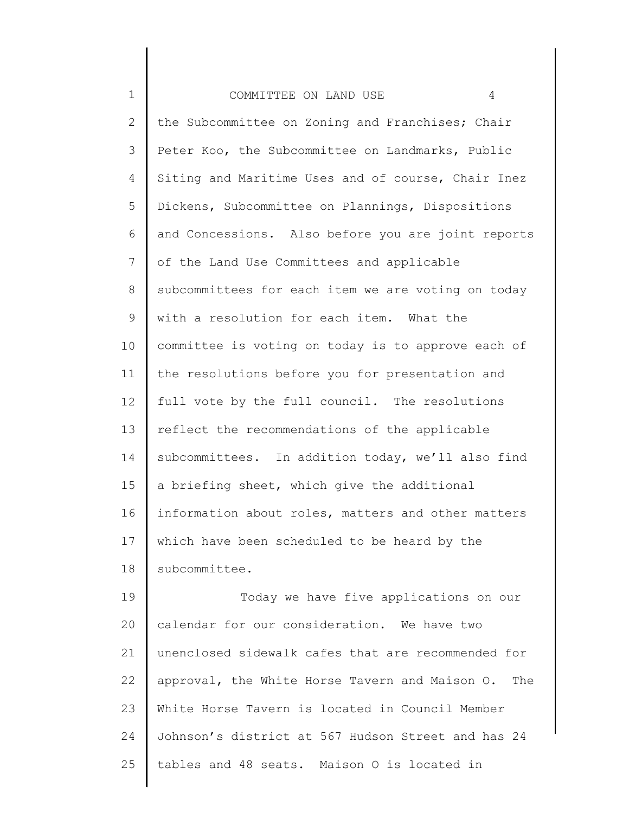| $1\,$        | 4<br>COMMITTEE ON LAND USE                            |
|--------------|-------------------------------------------------------|
| $\mathbf{2}$ | the Subcommittee on Zoning and Franchises; Chair      |
| 3            | Peter Koo, the Subcommittee on Landmarks, Public      |
| 4            | Siting and Maritime Uses and of course, Chair Inez    |
| 5            | Dickens, Subcommittee on Plannings, Dispositions      |
| 6            | and Concessions. Also before you are joint reports    |
| 7            | of the Land Use Committees and applicable             |
| 8            | subcommittees for each item we are voting on today    |
| 9            | with a resolution for each item. What the             |
| 10           | committee is voting on today is to approve each of    |
| 11           | the resolutions before you for presentation and       |
| 12           | full vote by the full council. The resolutions        |
| 13           | reflect the recommendations of the applicable         |
| 14           | subcommittees. In addition today, we'll also find     |
| 15           | a briefing sheet, which give the additional           |
| 16           | information about roles, matters and other matters    |
| 17           | which have been scheduled to be heard by the          |
| 18           | subcommittee.                                         |
| 19           | Today we have five applications on our                |
| 20           | calendar for our consideration. We have two           |
| 21           | unenclosed sidewalk cafes that are recommended for    |
| 22           | approval, the White Horse Tavern and Maison O.<br>The |
| 23           | White Horse Tavern is located in Council Member       |
| 24           | Johnson's district at 567 Hudson Street and has 24    |
| 25           | tables and 48 seats. Maison O is located in           |
|              |                                                       |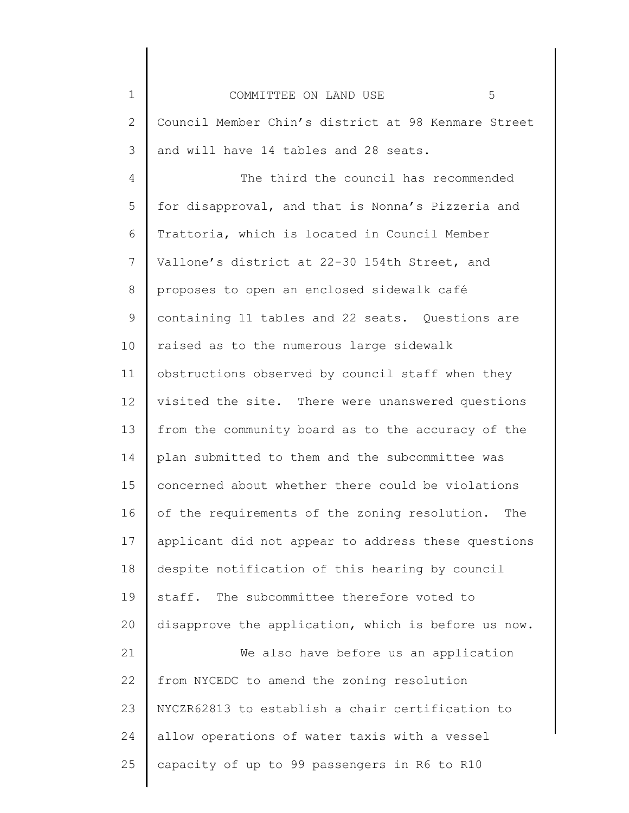| $\mathbf 1$  | 5<br>COMMITTEE ON LAND USE                          |
|--------------|-----------------------------------------------------|
| $\mathbf{2}$ | Council Member Chin's district at 98 Kenmare Street |
| 3            | and will have 14 tables and 28 seats.               |
| 4            | The third the council has recommended               |
| 5            | for disapproval, and that is Nonna's Pizzeria and   |
| 6            | Trattoria, which is located in Council Member       |
| 7            | Vallone's district at 22-30 154th Street, and       |
| 8            | proposes to open an enclosed sidewalk café          |
| 9            | containing 11 tables and 22 seats. Questions are    |
| 10           | raised as to the numerous large sidewalk            |
| 11           | obstructions observed by council staff when they    |
| 12           | visited the site. There were unanswered questions   |
| 13           | from the community board as to the accuracy of the  |
| 14           | plan submitted to them and the subcommittee was     |
| 15           | concerned about whether there could be violations   |
| 16           | of the requirements of the zoning resolution. The   |
| 17           | applicant did not appear to address these questions |
| 18           | despite notification of this hearing by council     |
| 19           | The subcommittee therefore voted to<br>staff.       |
| 20           | disapprove the application, which is before us now. |
| 21           | We also have before us an application               |
| 22           | from NYCEDC to amend the zoning resolution          |
| 23           | NYCZR62813 to establish a chair certification to    |
| 24           | allow operations of water taxis with a vessel       |
| 25           | capacity of up to 99 passengers in R6 to R10        |
|              |                                                     |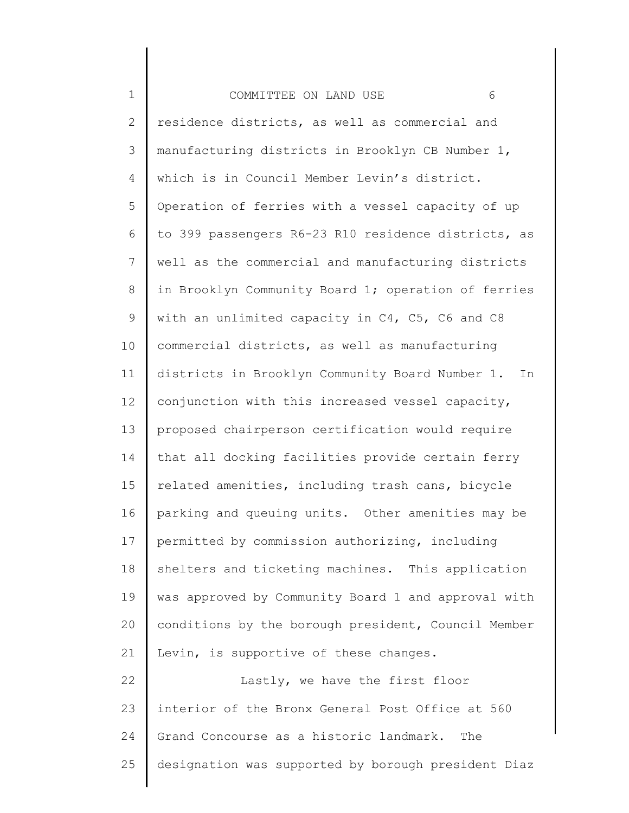| $\mathbf 1$  | 6<br>COMMITTEE ON LAND USE                            |
|--------------|-------------------------------------------------------|
| $\mathbf{2}$ | residence districts, as well as commercial and        |
| 3            | manufacturing districts in Brooklyn CB Number 1,      |
| 4            | which is in Council Member Levin's district.          |
| 5            | Operation of ferries with a vessel capacity of up     |
| 6            | to 399 passengers R6-23 R10 residence districts, as   |
| 7            | well as the commercial and manufacturing districts    |
| $\,8\,$      | in Brooklyn Community Board 1; operation of ferries   |
| $\mathsf 9$  | with an unlimited capacity in C4, C5, C6 and C8       |
| 10           | commercial districts, as well as manufacturing        |
| 11           | districts in Brooklyn Community Board Number 1.<br>In |
| 12           | conjunction with this increased vessel capacity,      |
| 13           | proposed chairperson certification would require      |
| 14           | that all docking facilities provide certain ferry     |
| 15           | related amenities, including trash cans, bicycle      |
| 16           | parking and queuing units. Other amenities may be     |
| 17           | permitted by commission authorizing, including        |
| 18           | shelters and ticketing machines. This application     |
| 19           | was approved by Community Board 1 and approval with   |
| 20           | conditions by the borough president, Council Member   |
| 21           | Levin, is supportive of these changes.                |
| 22           | Lastly, we have the first floor                       |
| 23           | interior of the Bronx General Post Office at 560      |
| 24           | Grand Concourse as a historic landmark.<br>The        |
| 25           | designation was supported by borough president Diaz   |
|              |                                                       |

║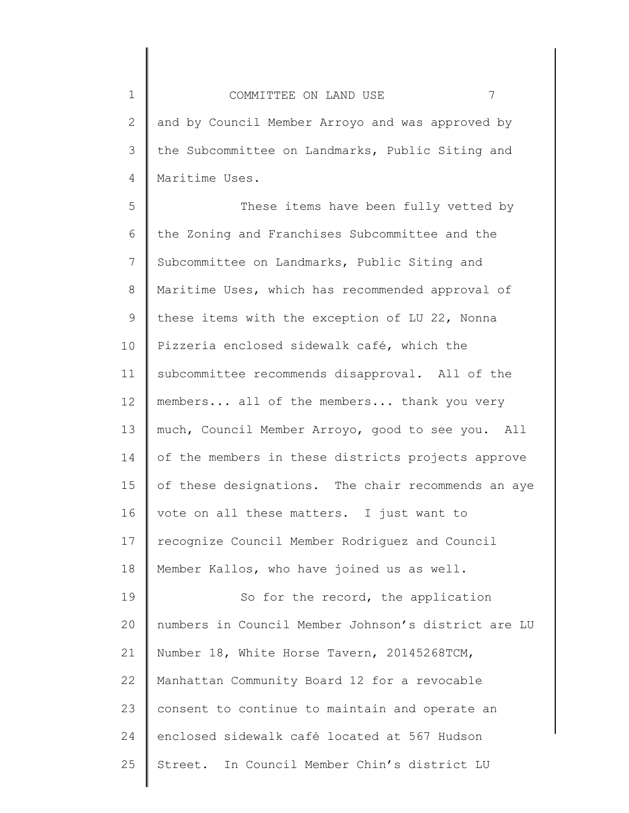2 3 4 COMMITTEE ON LAND USE 7 and by Council Member Arroyo and was approved by the Subcommittee on Landmarks, Public Siting and Maritime Uses.

5 6 7 8 9 10 11 12 13 14 15 16 17 18 19 20 21 22 23 24 These items have been fully vetted by the Zoning and Franchises Subcommittee and the Subcommittee on Landmarks, Public Siting and Maritime Uses, which has recommended approval of these items with the exception of LU 22, Nonna Pizzeria enclosed sidewalk café, which the subcommittee recommends disapproval. All of the members... all of the members... thank you very much, Council Member Arroyo, good to see you. All of the members in these districts projects approve of these designations. The chair recommends an aye vote on all these matters. I just want to recognize Council Member Rodriguez and Council Member Kallos, who have joined us as well. So for the record, the application numbers in Council Member Johnson's district are LU Number 18, White Horse Tavern, 20145268TCM, Manhattan Community Board 12 for a revocable consent to continue to maintain and operate an enclosed sidewalk café located at 567 Hudson

25 Street. In Council Member Chin's district LU

1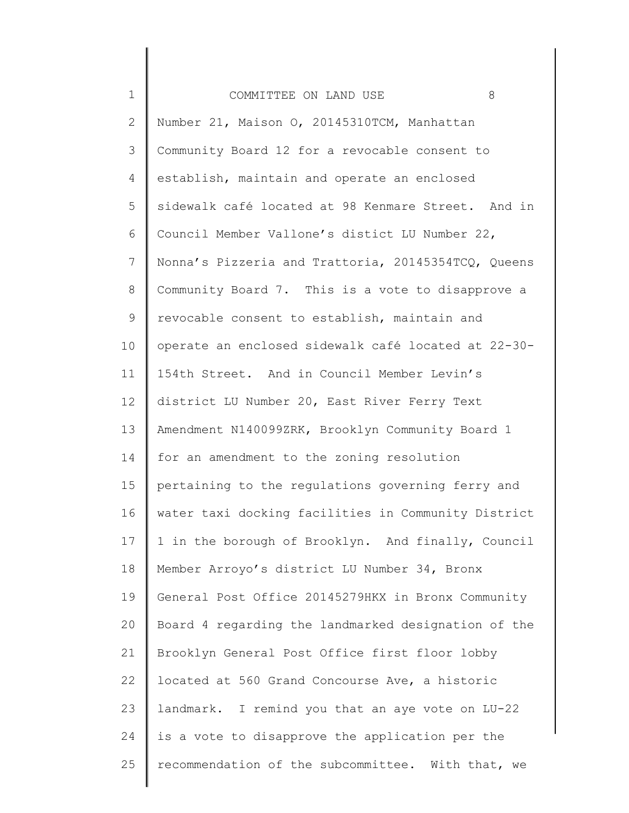| $\mathbf 1$    | 8<br>COMMITTEE ON LAND USE                          |
|----------------|-----------------------------------------------------|
| $\overline{2}$ | Number 21, Maison O, 20145310TCM, Manhattan         |
| 3              | Community Board 12 for a revocable consent to       |
| 4              | establish, maintain and operate an enclosed         |
| 5              | sidewalk café located at 98 Kenmare Street. And in  |
| 6              | Council Member Vallone's distict LU Number 22,      |
| 7              | Nonna's Pizzeria and Trattoria, 20145354TCQ, Queens |
| 8              | Community Board 7. This is a vote to disapprove a   |
| $\mathsf 9$    | revocable consent to establish, maintain and        |
| 10             | operate an enclosed sidewalk café located at 22-30- |
| 11             | 154th Street. And in Council Member Levin's         |
| 12             | district LU Number 20, East River Ferry Text        |
| 13             | Amendment N140099ZRK, Brooklyn Community Board 1    |
| 14             | for an amendment to the zoning resolution           |
| 15             | pertaining to the regulations governing ferry and   |
| 16             | water taxi docking facilities in Community District |
| 17             | 1 in the borough of Brooklyn. And finally, Council  |
| 18             | Member Arroyo's district LU Number 34, Bronx        |
| 19             | General Post Office 20145279HKX in Bronx Community  |
| 20             | Board 4 regarding the landmarked designation of the |
| 21             | Brooklyn General Post Office first floor lobby      |
| 22             | located at 560 Grand Concourse Ave, a historic      |
| 23             | landmark. I remind you that an aye vote on LU-22    |
| 24             | is a vote to disapprove the application per the     |
| 25             | recommendation of the subcommittee. With that, we   |
|                |                                                     |

∥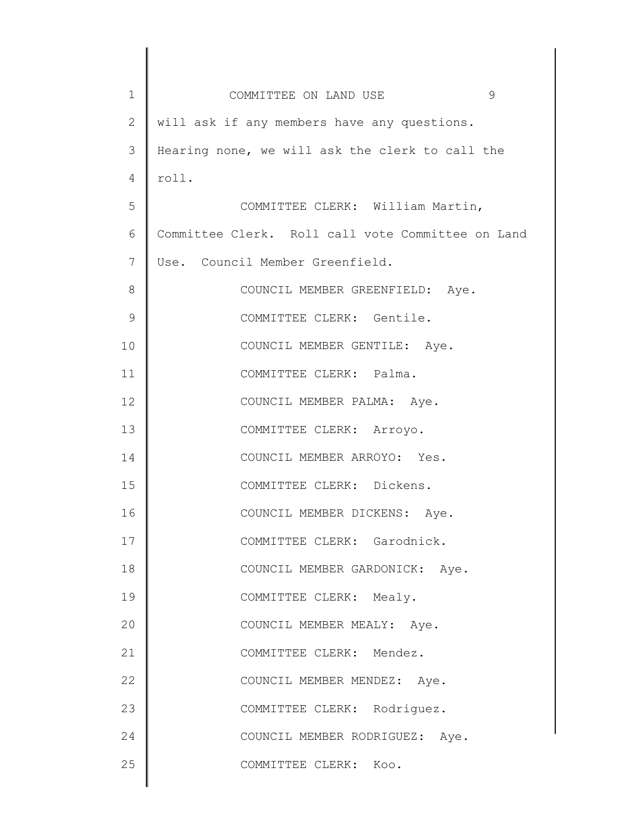| $\mathbf 1$     | 9<br>COMMITTEE ON LAND USE                        |
|-----------------|---------------------------------------------------|
| $\mathbf{2}$    | will ask if any members have any questions.       |
| 3               | Hearing none, we will ask the clerk to call the   |
| 4               | roll.                                             |
| 5               | COMMITTEE CLERK: William Martin,                  |
| 6               | Committee Clerk. Roll call vote Committee on Land |
| $7\phantom{.0}$ | Use. Council Member Greenfield.                   |
| 8               | COUNCIL MEMBER GREENFIELD: Aye.                   |
| $\mathcal{G}$   | COMMITTEE CLERK: Gentile.                         |
| 10              | COUNCIL MEMBER GENTILE: Aye.                      |
| 11              | COMMITTEE CLERK: Palma.                           |
| 12              | COUNCIL MEMBER PALMA: Aye.                        |
| 13              | COMMITTEE CLERK: Arroyo.                          |
| 14              | COUNCIL MEMBER ARROYO: Yes.                       |
| 15              | COMMITTEE CLERK: Dickens.                         |
| 16              | COUNCIL MEMBER DICKENS: Aye.                      |
| 17              | COMMITTEE CLERK: Garodnick.                       |
| 18              | COUNCIL MEMBER GARDONICK: Aye.                    |
| 19              | COMMITTEE CLERK: Mealy.                           |
| 20              | COUNCIL MEMBER MEALY: Aye.                        |
| 21              | COMMITTEE CLERK: Mendez.                          |
| 22              | COUNCIL MEMBER MENDEZ: Aye.                       |
| 23              | COMMITTEE CLERK: Rodriguez.                       |
| 24              | COUNCIL MEMBER RODRIGUEZ: Aye.                    |
| 25              | COMMITTEE CLERK: Koo.                             |
|                 |                                                   |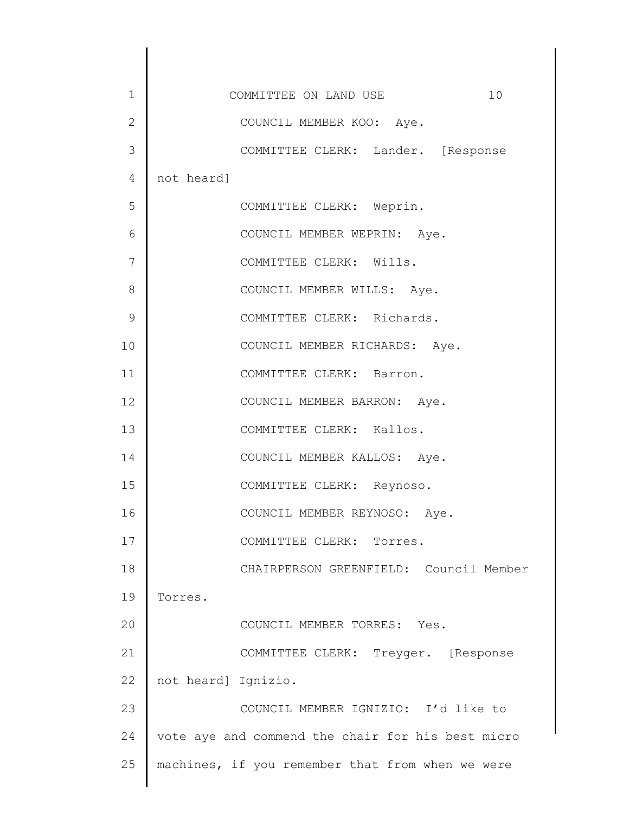| 1            | COMMITTEE ON LAND USE<br>10                       |
|--------------|---------------------------------------------------|
| $\mathbf{2}$ | COUNCIL MEMBER KOO: Aye.                          |
| 3            | COMMITTEE CLERK: Lander. [Response                |
| 4            | not heard]                                        |
| 5            | COMMITTEE CLERK: Weprin.                          |
| 6            | COUNCIL MEMBER WEPRIN: Aye.                       |
| 7            | COMMITTEE CLERK: Wills.                           |
| 8            | COUNCIL MEMBER WILLS: Aye.                        |
| 9            | COMMITTEE CLERK: Richards.                        |
| 10           | COUNCIL MEMBER RICHARDS: Aye.                     |
| 11           | COMMITTEE CLERK: Barron.                          |
| 12           | COUNCIL MEMBER BARRON: Aye.                       |
| 13           | COMMITTEE CLERK: Kallos.                          |
| 14           | COUNCIL MEMBER KALLOS: Aye.                       |
| 15           | COMMITTEE CLERK: Reynoso.                         |
| 16           | COUNCIL MEMBER REYNOSO: Aye.                      |
| 17           | COMMITTEE CLERK: Torres.                          |
| 18           | CHAIRPERSON GREENFIELD: Council Member            |
| 19           | Torres.                                           |
| 20           | COUNCIL MEMBER TORRES: Yes.                       |
| 21           | COMMITTEE CLERK: Treyger. [Response               |
| 22           | not heard] Ignizio.                               |
| 23           | COUNCIL MEMBER IGNIZIO: I'd like to               |
| 24           | vote aye and commend the chair for his best micro |
| 25           | machines, if you remember that from when we were  |
|              |                                                   |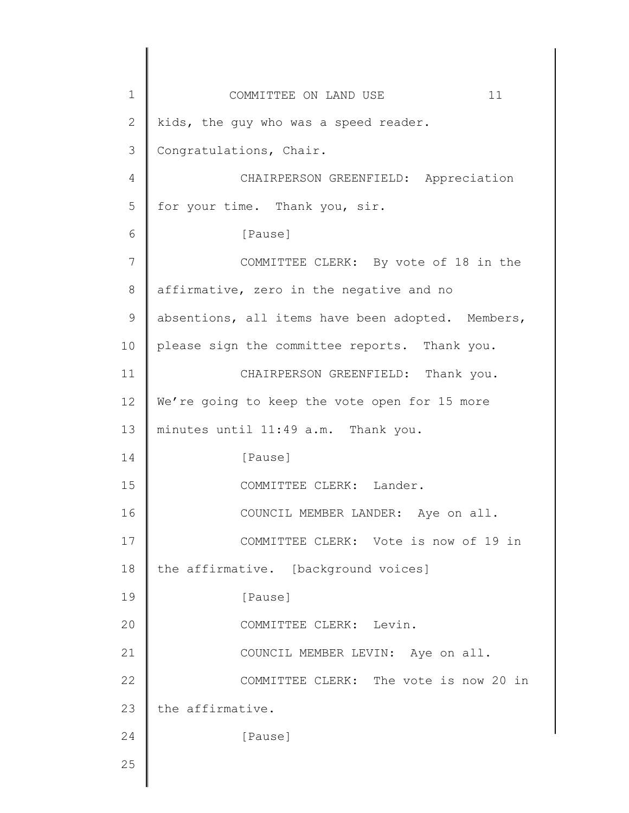1 2 3 4 5 6 7 8 9 10 11 12 13 14 15 16 17 18 19 20 21 22 23 24 25 COMMITTEE ON LAND USE 11 kids, the guy who was a speed reader. Congratulations, Chair. CHAIRPERSON GREENFIELD: Appreciation for your time. Thank you, sir. [Pause] COMMITTEE CLERK: By vote of 18 in the affirmative, zero in the negative and no absentions, all items have been adopted. Members, please sign the committee reports. Thank you. CHAIRPERSON GREENFIELD: Thank you. We're going to keep the vote open for 15 more minutes until 11:49 a.m. Thank you. [Pause] COMMITTEE CLERK: Lander. COUNCIL MEMBER LANDER: Aye on all. COMMITTEE CLERK: Vote is now of 19 in the affirmative. [background voices] [Pause] COMMITTEE CLERK: Levin. COUNCIL MEMBER LEVIN: Aye on all. COMMITTEE CLERK: The vote is now 20 in the affirmative. [Pause]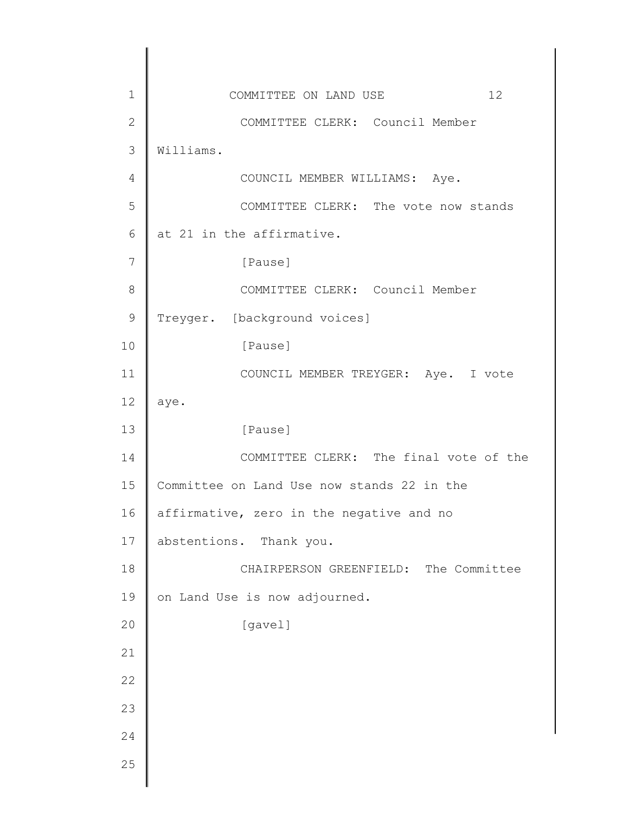| $1\,$          | 12<br>COMMITTEE ON LAND USE                |
|----------------|--------------------------------------------|
| $\mathbf{2}$   | COMMITTEE CLERK: Council Member            |
| 3              | Williams.                                  |
| 4              | COUNCIL MEMBER WILLIAMS: Aye.              |
| 5              | COMMITTEE CLERK: The vote now stands       |
| $6\,$          | at 21 in the affirmative.                  |
| $\overline{7}$ | [Pause]                                    |
| 8              | COMMITTEE CLERK: Council Member            |
| $\mathcal{G}$  | Treyger. [background voices]               |
| 10             | [Pause]                                    |
| 11             | COUNCIL MEMBER TREYGER: Aye. I vote        |
| 12             | aye.                                       |
| 13             | [Pause]                                    |
| 14             | COMMITTEE CLERK: The final vote of the     |
| 15             | Committee on Land Use now stands 22 in the |
| 16             | affirmative, zero in the negative and no   |
| 17             | abstentions. Thank you.                    |
| 18             | CHAIRPERSON GREENFIELD: The Committee      |
| 19             | on Land Use is now adjourned.              |
| 20             | [gavel]                                    |
| 21             |                                            |
| 22             |                                            |
| 23             |                                            |
| 24             |                                            |
| 25             |                                            |
|                |                                            |